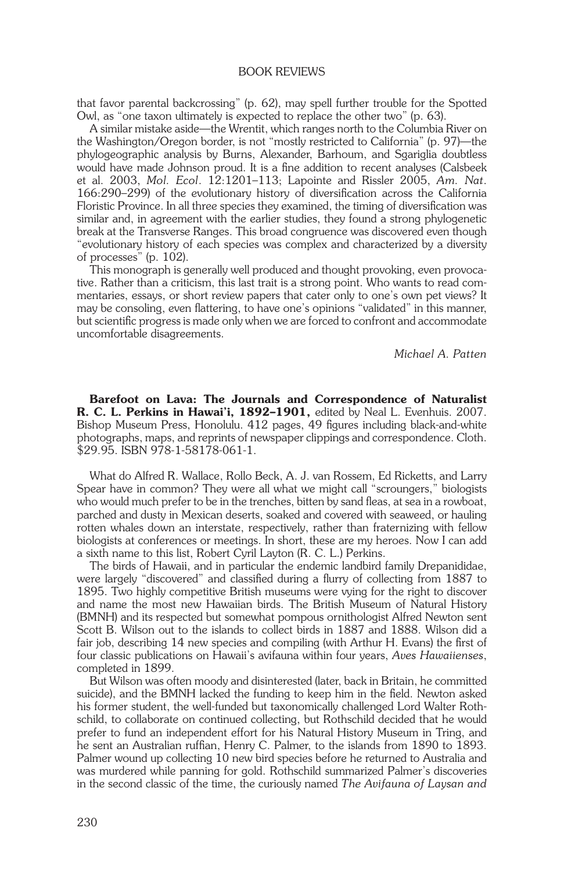## book reviews

that favor parental backcrossing" (p. 62), may spell further trouble for the Spotted Owl, as "one taxon ultimately is expected to replace the other two" (p. 63).

A similar mistake aside—the Wrentit, which ranges north to the Columbia River on the Washington/Oregon border, is not "mostly restricted to California" (p. 97)—the phylogeographic analysis by Burns, Alexander, Barhoum, and Sgariglia doubtless would have made Johnson proud. It is a fine addition to recent analyses (Calsbeek et al. 2003, *Mol. Ecol*. 12:1201–113; Lapointe and Rissler 2005, *Am. Nat*. 166:290–299) of the evolutionary history of diversification across the California Floristic Province. In all three species they examined, the timing of diversification was similar and, in agreement with the earlier studies, they found a strong phylogenetic break at the Transverse Ranges. This broad congruence was discovered even though "evolutionary history of each species was complex and characterized by a diversity of processes" (p. 102).

This monograph is generally well produced and thought provoking, even provocative. Rather than a criticism, this last trait is a strong point. Who wants to read commentaries, essays, or short review papers that cater only to one's own pet views? It may be consoling, even flattering, to have one's opinions "validated" in this manner, but scientific progress is made only when we are forced to confront and accommodate uncomfortable disagreements.

*Michael A. Patten*

Barefoot on Lava: The Journals and Correspondence of Naturalist R. C. L. Perkins in Hawai'i, 1892-1901, edited by Neal L. Evenhuis. 2007. Bishop Museum Press, Honolulu. 412 pages, 49 figures including black-and-white photographs, maps, and reprints of newspaper clippings and correspondence. Cloth. \$29.95. ISBN 978-1-58178-061-1.

What do Alfred R. Wallace, Rollo Beck, A. J. van Rossem, Ed Ricketts, and Larry Spear have in common? They were all what we might call "scroungers," biologists who would much prefer to be in the trenches, bitten by sand fleas, at sea in a rowboat, parched and dusty in Mexican deserts, soaked and covered with seaweed, or hauling rotten whales down an interstate, respectively, rather than fraternizing with fellow biologists at conferences or meetings. In short, these are my heroes. Now I can add a sixth name to this list, Robert Cyril Layton (R. C. L.) Perkins.

The birds of Hawaii, and in particular the endemic landbird family Drepanididae, were largely "discovered" and classified during a flurry of collecting from 1887 to 1895. Two highly competitive British museums were vying for the right to discover and name the most new Hawaiian birds. The British Museum of Natural History (BMNH) and its respected but somewhat pompous ornithologist Alfred Newton sent Scott B. Wilson out to the islands to collect birds in 1887 and 1888. Wilson did a fair job, describing 14 new species and compiling (with Arthur H. Evans) the first of four classic publications on Hawaii's avifauna within four years, *Aves Hawaiienses*, completed in 1899.

But Wilson was often moody and disinterested (later, back in Britain, he committed suicide), and the BMNH lacked the funding to keep him in the field. Newton asked his former student, the well-funded but taxonomically challenged Lord Walter Rothschild, to collaborate on continued collecting, but Rothschild decided that he would prefer to fund an independent effort for his Natural History Museum in Tring, and he sent an Australian ruffian, Henry C. Palmer, to the islands from 1890 to 1893. Palmer wound up collecting 10 new bird species before he returned to Australia and was murdered while panning for gold. Rothschild summarized Palmer's discoveries in the second classic of the time, the curiously named *The Avifauna of Laysan and*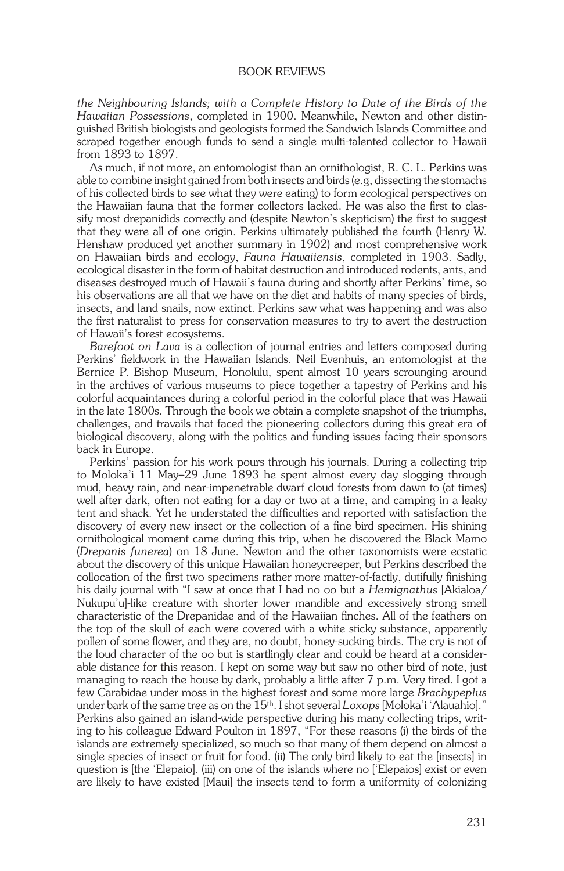## book reviews

*the Neighbouring Islands; with a Complete History to Date of the Birds of the Hawaiian Possessions*, completed in 1900. Meanwhile, Newton and other distinguished British biologists and geologists formed the Sandwich Islands Committee and scraped together enough funds to send a single multi-talented collector to Hawaii from 1893 to 1897.

As much, if not more, an entomologist than an ornithologist, R. C. L. Perkins was able to combine insight gained from both insects and birds (e.g, dissecting the stomachs of his collected birds to see what they were eating) to form ecological perspectives on the Hawaiian fauna that the former collectors lacked. He was also the first to classify most drepanidids correctly and (despite Newton's skepticism) the first to suggest that they were all of one origin. Perkins ultimately published the fourth (Henry W. Henshaw produced yet another summary in 1902) and most comprehensive work on Hawaiian birds and ecology, *Fauna Hawaiiensis*, completed in 1903. Sadly, ecological disaster in the form of habitat destruction and introduced rodents, ants, and diseases destroyed much of Hawaii's fauna during and shortly after Perkins' time, so his observations are all that we have on the diet and habits of many species of birds, insects, and land snails, now extinct. Perkins saw what was happening and was also the first naturalist to press for conservation measures to try to avert the destruction of Hawaii's forest ecosystems.

*Barefoot on Lava* is a collection of journal entries and letters composed during Perkins' fieldwork in the Hawaiian Islands. Neil Evenhuis, an entomologist at the Bernice P. Bishop Museum, Honolulu, spent almost 10 years scrounging around in the archives of various museums to piece together a tapestry of Perkins and his colorful acquaintances during a colorful period in the colorful place that was Hawaii in the late 1800s. Through the book we obtain a complete snapshot of the triumphs, challenges, and travails that faced the pioneering collectors during this great era of biological discovery, along with the politics and funding issues facing their sponsors back in Europe.

Perkins' passion for his work pours through his journals. During a collecting trip to Moloka'i 11 May–29 June 1893 he spent almost every day slogging through mud, heavy rain, and near-impenetrable dwarf cloud forests from dawn to (at times) well after dark, often not eating for a day or two at a time, and camping in a leaky tent and shack. Yet he understated the difficulties and reported with satisfaction the discovery of every new insect or the collection of a fine bird specimen. His shining ornithological moment came during this trip, when he discovered the Black Mamo (*Drepanis funerea*) on 18 June. Newton and the other taxonomists were ecstatic about the discovery of this unique Hawaiian honeycreeper, but Perkins described the collocation of the first two specimens rather more matter-of-factly, dutifully finishing his daily journal with "I saw at once that I had no oo but a *Hemignathus* [Akialoa/ Nukupu'u]-like creature with shorter lower mandible and excessively strong smell characteristic of the Drepanidae and of the Hawaiian finches. All of the feathers on the top of the skull of each were covered with a white sticky substance, apparently pollen of some flower, and they are, no doubt, honey-sucking birds. The cry is not of the loud character of the oo but is startlingly clear and could be heard at a considerable distance for this reason. I kept on some way but saw no other bird of note, just managing to reach the house by dark, probably a little after 7 p.m. Very tired. I got a few Carabidae under moss in the highest forest and some more large *Brachypeplus* under bark of the same tree as on the 15th. I shot several *Loxops* [Moloka'i 'Alauahio]." Perkins also gained an island-wide perspective during his many collecting trips, writing to his colleague Edward Poulton in 1897, "For these reasons (i) the birds of the islands are extremely specialized, so much so that many of them depend on almost a single species of insect or fruit for food. (ii) The only bird likely to eat the [insects] in question is [the 'Elepaio]. (iii) on one of the islands where no ['Elepaios] exist or even are likely to have existed [Maui] the insects tend to form a uniformity of colonizing